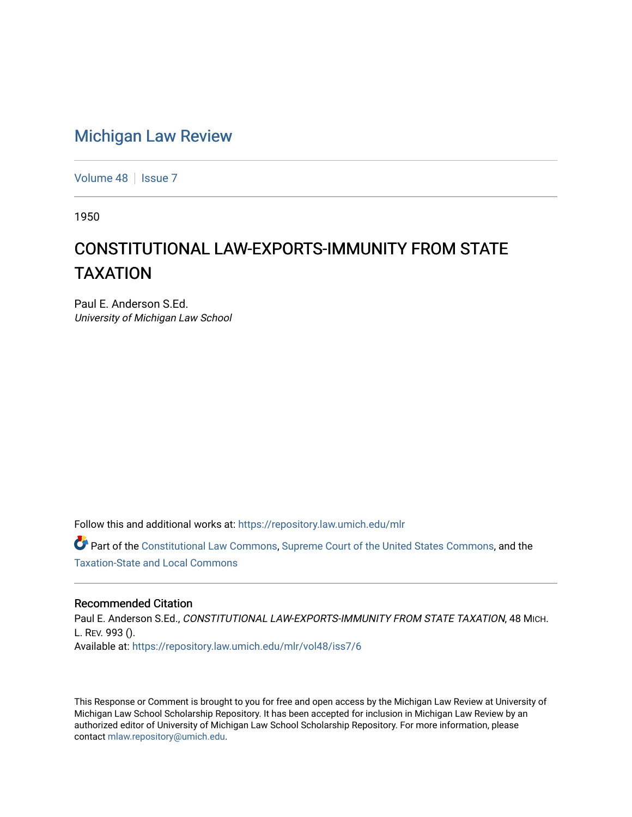## [Michigan Law Review](https://repository.law.umich.edu/mlr)

[Volume 48](https://repository.law.umich.edu/mlr/vol48) | [Issue 7](https://repository.law.umich.edu/mlr/vol48/iss7)

1950

# CONSTITUTIONAL LAW-EXPORTS-IMMUNITY FROM STATE TAXATION

Paul E. Anderson S.Ed. University of Michigan Law School

Follow this and additional works at: [https://repository.law.umich.edu/mlr](https://repository.law.umich.edu/mlr?utm_source=repository.law.umich.edu%2Fmlr%2Fvol48%2Fiss7%2F6&utm_medium=PDF&utm_campaign=PDFCoverPages) 

Part of the [Constitutional Law Commons,](http://network.bepress.com/hgg/discipline/589?utm_source=repository.law.umich.edu%2Fmlr%2Fvol48%2Fiss7%2F6&utm_medium=PDF&utm_campaign=PDFCoverPages) [Supreme Court of the United States Commons,](http://network.bepress.com/hgg/discipline/1350?utm_source=repository.law.umich.edu%2Fmlr%2Fvol48%2Fiss7%2F6&utm_medium=PDF&utm_campaign=PDFCoverPages) and the [Taxation-State and Local Commons](http://network.bepress.com/hgg/discipline/882?utm_source=repository.law.umich.edu%2Fmlr%2Fvol48%2Fiss7%2F6&utm_medium=PDF&utm_campaign=PDFCoverPages)

### Recommended Citation

Paul E. Anderson S.Ed., CONSTITUTIONAL LAW-EXPORTS-IMMUNITY FROM STATE TAXATION, 48 MICH. L. REV. 993 (). Available at: [https://repository.law.umich.edu/mlr/vol48/iss7/6](https://repository.law.umich.edu/mlr/vol48/iss7/6?utm_source=repository.law.umich.edu%2Fmlr%2Fvol48%2Fiss7%2F6&utm_medium=PDF&utm_campaign=PDFCoverPages)

This Response or Comment is brought to you for free and open access by the Michigan Law Review at University of Michigan Law School Scholarship Repository. It has been accepted for inclusion in Michigan Law Review by an authorized editor of University of Michigan Law School Scholarship Repository. For more information, please contact [mlaw.repository@umich.edu](mailto:mlaw.repository@umich.edu).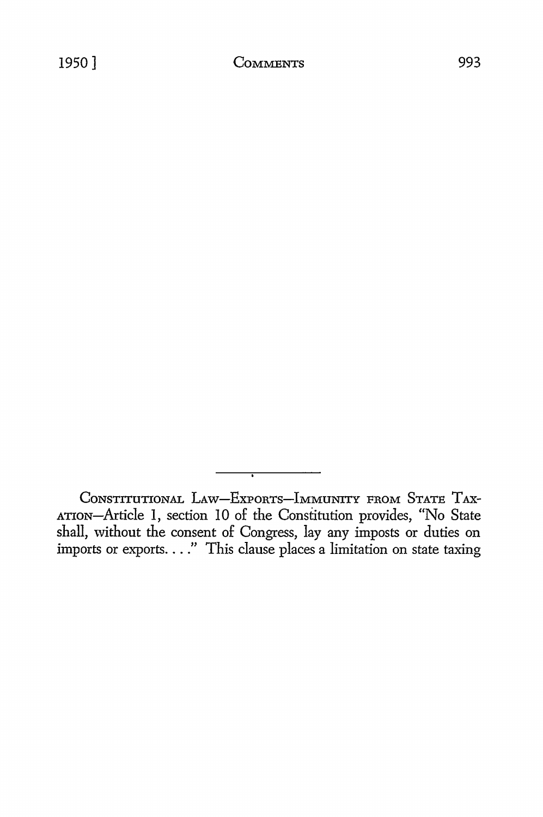CONSTITUTIONAL LAW-EXPORTS-IMMUNITY FROM STATE TAX-ATION-Article I, section 10 of the Constitution provides, "No State shall, without the consent of Congress, lay any imposts or duties on imports or exports...." This clause places a limitation on state taxing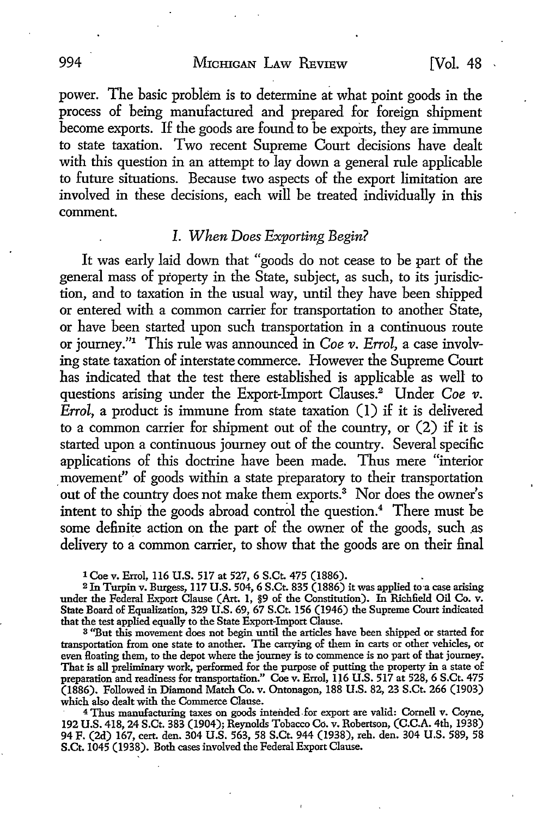994 MICHIGAN LAW REVIEW [Vol. 48

power. The basic problem is to determine at what point goods in the process of being manufactured and prepared for foreign shipment become exports. If the goods are found to be exports, they are immune to state taxation. Two recent Supreme Court decisions have dealt with this question in an attempt to lay down a general rule applicable to future situations. Because two aspects of the export limitation are involved in these decisions, each will be treated individually in this comment.

## *I. When Does Exporting Begin?*

It was early laid down that "goods do not cease to be part of the general mass of property in the State, subject, as such, to its jurisdiction, and to taxation in the usual way, until they have been shipped or entered with a common carrier for transportation to another State, or have been started upon such transportation in a continuous route or joumey."1 This rule was announced in *Coe v. Errol,* a case involving state taxation of interstate commerce. However the Supreme Court has indicated that the test there established is applicable as well to questions arising under the Export-Import Clauses.<sup>2</sup> Under *Coe v*. *Errol,* a product is immune from state taxation (I) if it is delivered to a common carrier for shipment out of the country, or (2) if it is started upon a continuous journey out of the country. Several specific applications of this doctrine have been made. Thus mere "interior movement" of goods within a state preparatory to their transportation out of the country does not make them exports.<sup>3</sup> Nor does the owner's intent to ship the goods abroad control the question.<sup>4</sup> There must be some definite action on the part of the owner of the goods, such as delivery to a common carrier, to show that the goods are on their final

1 Coe v. Errol, 116 U.S. 517 at 527, 6 S.Ct. 475 (1886). .

<sup>2</sup> In Turpin v. Burgess, 117 U.S. 504, 6 S.Ct. 835 (1886) it was applied to a case arising under the Federal Export Clause (Art. 1, §9 of the Constitution). In Richfield Oil Co. v. State Board of Equalization, 329 U.S. 69, 67 S.Ct. 156 (1946) the Supreme Court indicated that the test applied equally to the State Export-Import Clause.

<sup>3</sup>''But this movement does not begin until the articles have been shipped or started for transportation from one state to another. The carrying of them in carts or other vehicles, or even Hoating them, to the depot where the journey is to commence is no part of that journey. That is all preliminary work, performed for the purpose of putting the property in a state of preparation and readiness for transportation." Coe v. Errol, IJ6 U.S. 517 at 528, 6 S.Ct. 475 (1886). Followed in Diamond Match Co. v. Ontonagon, 188 U.S. 82, 23 S.Ct. 266 (1903) which also dealt with the Commerce Clause.

<sup>4</sup>Thus manufacturing taxes on goods intended-for export are valid: Cornell v. Coyne, 192 U.S. 418, 24 S.Ct. 383 (1904); Reynolds Tobacco Co. v. Robertson, (C.C.A. 4th, 1938) 94 F. (2d) 167, cert. den. 304 U.S. 563, 58 S.Ct. 944 (1938), reh. den. 304 U.S. 589, 58 S.Ct. 1045 (1938). Both cases involved the Federal Export Clause.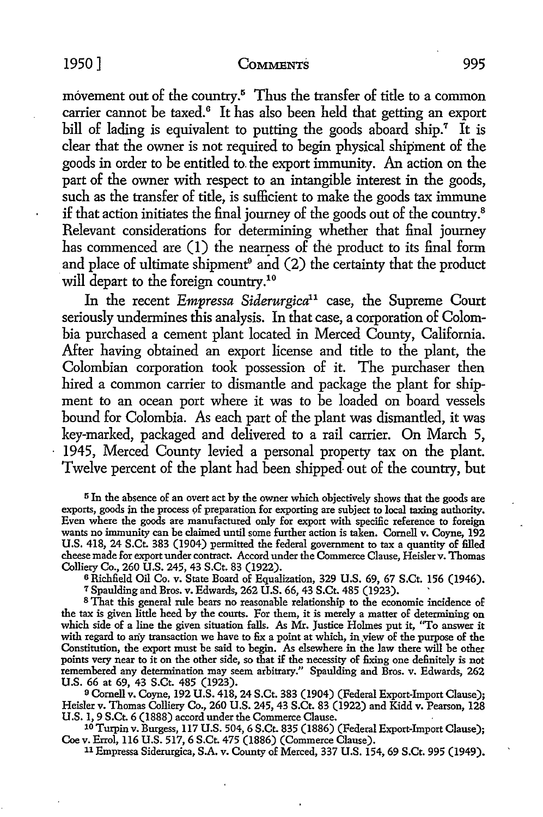#### 1950] COMMENTS 995

movement out of the country.<sup>5</sup> Thus the transfer of title to a common carrier cannot be taxed.<sup>6</sup> It has also been held that getting an export bill of lading is equivalent to putting the goods aboard ship.<sup>7</sup> It is clear that the owner is not required to begin physical shipment of the goods in order to be entitled to. the export immunity. An action on the part of the owner with respect to an intangible interest in the goods, such as the transfer of title, is sufficient to make the goods tax immune if that action initiates the final journey of the goods out of the country.<sup>8</sup> Relevant considerations for determining whether that final journey has commenced are (1) the nearness of the product to its final form and place of ultimate shipment $^9$  and (2) the certainty that the product will depart to the foreign country.<sup>10</sup>

In the recent *Empressa Siderurgica11* case, the Supreme Court seriously undermines this analysis. In that case, a corporation of Colombia purchased a cement plant located in Merced County, California. After having obtained an export license and title to the plant, the Colombian corporation took possession of it. The purchaser then hired a common carrier to dismantle and package the plant for shipment to an ocean port where it was to be loaded on board vessels bound for Colombia. As each part of the plant was dismantled, it was key-marked, packaged and delivered to a rail carrier. On March 5, 1945, Merced County levied a personal property tax on the plant. Twelve percent of the plant had been shipped out of the country, but

<sup>5</sup> In the absence of an overt act by the owner which objectively shows that the goods are exports, goods in the process of preparation for exporting are subject to local taxing authority. Even where the goods are manufactured only for export with specific reference to foreign wants no immunity can be claimed until some further action is taken. Cornell v. Coyne, 192 U.S. 418, 24 S.Ct. 383 (1904) permitted the federal government to tax a quantity of filled cheese made for export under contract. Accord under the Commerce Clause, Heislerv. Thomas Colliery Co., 260 U.S. 245, 43 S.Ct. 83 (1922).

6 Richfield Oil Co. v. State Board of Equalization, 329 U.S. 69, 67 S.Ct. 156 (1946).

*1* Spaulding and Bros. v. Edwards, 262 U.S. 66, 43 S.Ct. 485 (1923). ·

<sup>8</sup>That this general rule bears no reasonable relationship to the economic incidence of the tax is given little heed by the courts. For them, it is merely a matter of determining on which side of a line the given situation falls. As Mr. Justice Holmes put it, ''To answer it with regard to any transaction we have to fix a point at which, in view of the purpose of the Constitution, the export must be said to begin. As elsewhere in the law there will be other points very near to it on the other side, so that if the necessity of fixing one definitely is not remembered any determination may seem arbitrary." Spaulding and Bros. v. Edwards, 262 U.S. 66 at 69, 43 S.Ct. 485 (1923).

9 Cornell v. Coyne, 192 U.S. 418, 24 S.Ct. 383 (1904) (Federal Export-Import Clause); Heisler v. Thomas Colliery Co., 260 U.S. 245, 43 S.Ct. 83 (1922) and Kidd v. Pearson, 128 U.S. 1, 9 S.Ct. 6 (1888) accord under the Commerce Clause.

10 Turpin v. Burgess, 117 U.S. 504, 6 S.Ct. 835 (1886) (FederalExport-lmport Clause); Coe v. Errol, 116 U.S. 517, 6 S.Ct. 475 (1886) (Commerce Clause).

11 Empressa Siderurgica, S.A. v. County of Merced, 337 U.S. 154, 69 S.Ct. 995 (1949).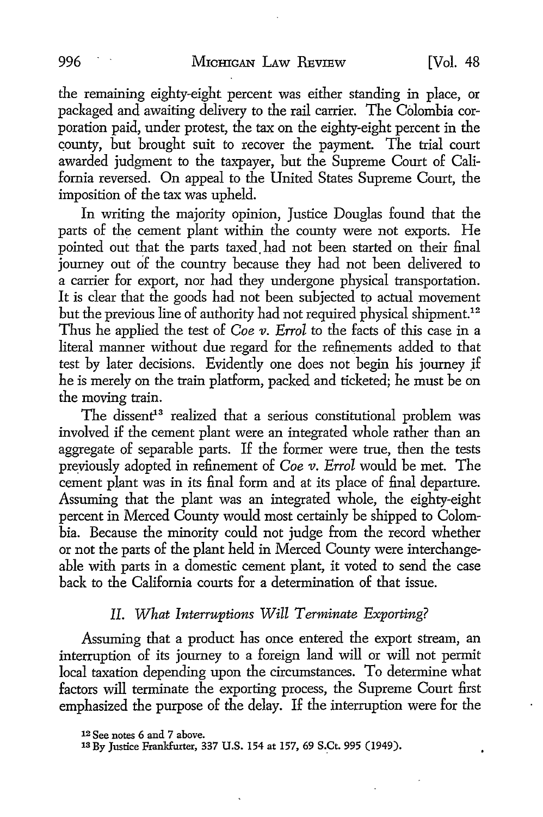the remaining eighty-eight percent was either standing in place, or packaged and awaiting delivery to the rail carrier. The Colombia corporation paid, under protest, the tax on the eighty-eight percent in the county, but brought suit to recover the payment. The trial court awarded judgment to the taxpayer, but the Supreme Court of California reversed. On appeal to the United States Supreme Court, the imposition of the tax was upheld.

In writing the majority opinion, Justice Douglas found that the parts of the cement plant within the county were not exports. He pointed out that the parts taxed had not been started on their final journey out of the country because they had not been delivered to a carrier for export, nor had they undergone physical transportation. It is clear that the goods had not been subjected to actual movement but the previous line of authority had not required physical shipment.<sup>12</sup> Thus he applied the test of *Coe v. Errol* to the facts of this case in a literal manner without due regard for the refinements added to that test by later decisions. Evidently one does not begin his journey if he is merely on the train platform, packed and ticketed; he must be on the moving train.

The dissent<sup>13</sup> realized that a serious constitutional problem was involved if the cement plant were an integrated whole rather than an aggregate of separable parts. If the former were true, then the tests previously adopted in refinement of *Coe v. Errol* would be met. The cement plant was in its final form and at its place of final departure. Assuming that the plant was an integrated whole, the eighty-eight percent in Merced County would most certainly be shipped to Colombia. Because the minority could not judge from the record whether or not the parts of the plant held in Merced County were interchangeable with parts in a domestic cement plant, it voted to send the case back to the California courts for a determination of that issue.

## *II. What Interruptions Will Terminate Exporting?*

Assuming that a product has once entered the export stream, an interruption of its journey to a foreign land will or will not permit local taxation depending upon the circumstances. To determine what factors will terminate the exporting process, the Supreme Court first emphasized the purpose of the delay. If the interruption were for the

<sup>12</sup> See notes 6 and 7 above.

<sup>13</sup> By Justice Frankfurter, 337 U.S. 154 at 157, 69 S.Ct. 995 (1949).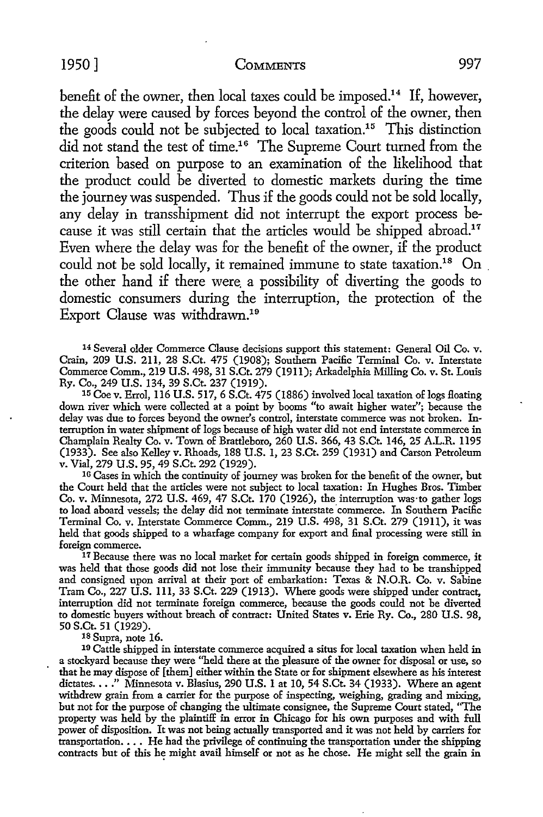#### 1950] COMMENTS 997

benefit of the owner, then local taxes could be imposed.<sup>14</sup> If, however, the delay were caused by forces beyond the control of the owner, then the goods could not be subjected to local taxation.<sup>15</sup> This distinction did not stand the test of time.<sup>16</sup> The Supreme Court turned from the criterion based on purpose to an examination of the likelihood that the product could be diverted to domestic markets during the time the journey was suspended. Thus if the goods could not be sold locally, any delay in transshipment did not interrupt the export process because it was still certain that the articles would be shipped abroad.<sup>17</sup> Even where the delay was for the benefit of the owner, if the product could not be sold locally, it remained immune to state taxation.<sup>18</sup> On the other hand if there were. a possibility of diverting the goods to domestic consumers during the interruption, the protection of the Export Clause was withdrawn.19

14 Several older Commerce Clause decisions support this statement: General Oil Co. v. Crain, 209 U.S. 211, 28 S.Ct. 475 (1908); Southern Pacific Terminal Co. v. Interstate Commerce Comm., 219 U.S. 498, 31 S.Ct. 279 (1911); Arkadelphia Milling Co. v. St. Louis Ry. Co., 249 U.S. 134, 39 S.Ct. 237 (1919).

15 Coe v. Errol, 116 U.S. 517, 6 S.Ct. 475 (1886) involved local taxation of logs Hoating down river which were collected at a point by booms "to await higher water"; because the delay was due to forces beyond the owner's control, interstate commerce was not broken. Interruption in water shipment of logs because of high water did not end interstate commerce in Champlain Realty Co. v. Town of Brattleboro, 260 U.S. 366, 43 S.Ct. 146, 25 A.L.R. 1195 (1933). See also Kelley v. Rhoads, 188 U.S. 1, 23 S.Ct. 259 (1931) and Carson Petroleum v. Vial, 279 U.S. 95, 49 S.Ct. 292 (1929).

<sup>16</sup> Cases in which the continuity of journey was broken for the benefit of the owner, but the Court held that the articles were not subject to local taxation: In Hughes Bros. Timber Co. v. Minnesota, 272 U.S. 469, 47 S.Ct. 170 (1926), the interruption was·to gather logs to load aboard vessels; the delay did not terminate interstate commerce. In Southern Pacific Terminal Co. v. Interstate Commerce Comm., 219 U.S. 498, 31 S.Ct. 279 (19U), it was held that goods shipped to a wharfage company for export and final processing were still in

<sup>17</sup> Because there was no local market for certain goods shipped in foreign commerce, it was held that those goods did not lose their immunity because they had to be transhipped and consigned upon arrival at their port of embarkation: Texas & N.O.R. Co. v. Sabine Tram Co., 227 U.S. 111, 33 S.Ct. 229 (1913). Where goods were shipped under contract, interruption did not terminate foreign commerce, because the goods could not be diverted to domestic buyers without breach of contract: United States v. Erie Ry. Co., 280 U.S. 98, 50 S.Ct. 51 (1929).

18 Supra, note 16.

10 Cattle shipped in interstate commerce acquired a situs for local taxation when held in a stockyard because they were ''held there at the pleasure of the owner for disposal or use, so that he may dispose of [them] either within the State or for shipment elsewhere as his interest dictates. . . . " Minnesota v. Blasius, 290 U.S. 1 at 10, 54 S.Ct. 34 (1933). Where an agent withdrew grain from a carrier for the purpose of inspecting, weighing, grading and mixing, but not for the purpose of changing the ultimate consignee, the Supreme Court stated, ''The property was held by the plaintiff in error in Chicago for his own purposes and with full power of disposition. It was not being actually transported and it was not held by carriers for transportation. • • • He had the privilege of continuing the transportation under the shipping contracts but of this he might avail himself or not as he chose. He might sell the grain in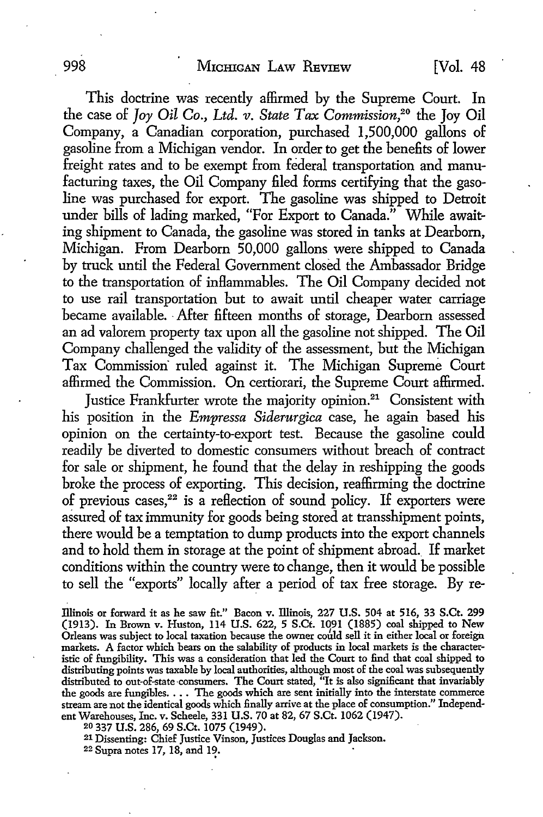This doctrine was recently affirmed by the Supreme Court. In the case of *Joy Oil* Co., *Ltd. v. State Tax Commission,20* the Joy Oil Company, a Canadian corporation, purchased 1,500,000 gallons of gasoline from a Michigan vendor. In order to get the benefits of lower freight rates and to be exempt from federal transportation and manufacturing taxes, the Oil Company filed forms certifying that the gasoline was purchased for export. The gasoline was shipped to Detroit under bills of lading marked, "For Export to Canada." While awaiting shipment to Canada, the gasoline was stored in tanks at Dearborn, Michigan. From Dearborn 50,000 gallons were shipped to Canada by truck until the Federal Government closed the Ambassador Bridge to the transportation of inHammables. The Oil Company decided not to use rail transportation but to await until cheaper water carriage became available. -After fifteen months of storage, Dearborn assessed an ad valorem property tax upon all the gasoline not shipped. The Oil Company challenged the validity of the assessment, but the Michigan Tax Commission· ruled against it. The Michigan Supreme Court affirmed the Commission. On certiorari, the Supreme Court affirmed.

Justice Frankfurter wrote the majority opinion.<sup>21</sup> Consistent with his position in the *Empressa Siderurgica* case, he again based his opinion on the certainty-to-export test. Because the gasoline could readily be diverted to domestic consumers without breach of contract for sale or shipment, he found that the delay in reshipping the goods broke the process of exporting. This decision, reaffirming the doctrine of previous cases,<sup>22</sup> is a reflection of sound policy. If exporters were assured of tax immunity for goods being stored at transshipment points, there would be a temptation to dump products into the export channels and to hold them in storage at the point of shipment abroad. If market conditions within the country were to change, then it would be possible to sell the "exports" locally after a period of tax free storage. By re-

Illinois or forward it as he saw fit." Bacon v. lliinois, 227 U.S. 504 at 516, 33 S.Ct. 299 (1913). In Brown v. Huston, 114 U.S. 622, 5 S.Ct. 1091 (1885) coal shipped to New Orleans was subject to local taxation because the owner could sell it in either local or foreign markets. A factor which bears on the salability of products in local markets is the characteristic of fungibility. This was a consideration that led the Court to find that coal shipped to distributing points was taxable by local authorities, although most of the coal was subsequently distributed to out-of-state-consumers. The Court stated, "It is also significant that invariably the goods are fungibles. • . • The goods which are sent initially into the interstate commerce stream are not the identical goods which finally arrive at the place of consumption." Independent Warehouses, Inc. v. Scheele, 331 U.S. 70 at 82, 67 S.Ct. 1062 (1947).

20 337 U.S. 286, 69 S.Ct. 1075 (1949).

21 Dissenting: Chief Justice Vinson, Justices Douglas and Jackson.

 $22$  Supra notes 17, 18, and 19.